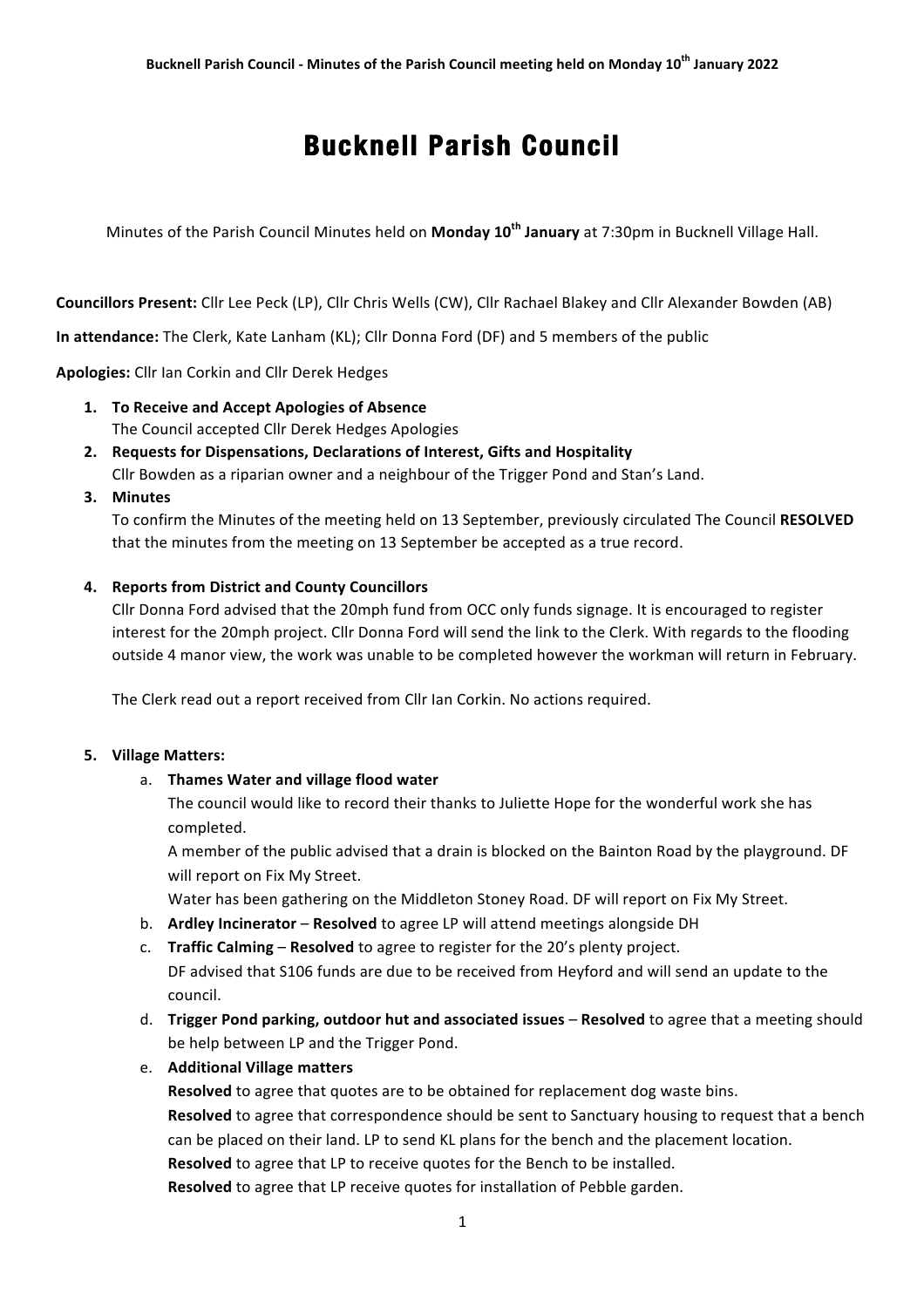# **Bucknell Parish Council**

Minutes of the Parish Council Minutes held on **Monday 10<sup>th</sup> January** at 7:30pm in Bucknell Village Hall.

**Councillors Present:** Cllr Lee Peck (LP), Cllr Chris Wells (CW), Cllr Rachael Blakey and Cllr Alexander Bowden (AB)

**In attendance:** The Clerk, Kate Lanham (KL); Cllr Donna Ford (DF) and 5 members of the public

Apologies: Cllr Ian Corkin and Cllr Derek Hedges

- 1. To Receive and Accept Apologies of Absence The Council accepted Cllr Derek Hedges Apologies
- **2.** Requests for Dispensations, Declarations of Interest, Gifts and Hospitality Cllr Bowden as a riparian owner and a neighbour of the Trigger Pond and Stan's Land.
- **3. Minutes**

To confirm the Minutes of the meeting held on 13 September, previously circulated The Council RESOLVED that the minutes from the meeting on 13 September be accepted as a true record.

#### **4.** Reports from District and County Councillors

Cllr Donna Ford advised that the 20mph fund from OCC only funds signage. It is encouraged to register interest for the 20mph project. Cllr Donna Ford will send the link to the Clerk. With regards to the flooding outside 4 manor view, the work was unable to be completed however the workman will return in February.

The Clerk read out a report received from Cllr Ian Corkin. No actions required.

#### **5. Village Matters:**

#### a. **Thames Water and village flood water**

The council would like to record their thanks to Juliette Hope for the wonderful work she has completed.

A member of the public advised that a drain is blocked on the Bainton Road by the playground. DF will report on Fix My Street.

Water has been gathering on the Middleton Stoney Road. DF will report on Fix My Street.

- b. **Ardley Incinerator Resolved** to agree LP will attend meetings alongside DH
- c. **Traffic Calming Resolved** to agree to register for the 20's plenty project.

DF advised that S106 funds are due to be received from Heyford and will send an update to the council. 

- d. **Trigger Pond parking, outdoor hut and associated issues Resolved** to agree that a meeting should be help between LP and the Trigger Pond.
- e. **Additional Village matters**

**Resolved** to agree that quotes are to be obtained for replacement dog waste bins. Resolved to agree that correspondence should be sent to Sanctuary housing to request that a bench can be placed on their land. LP to send KL plans for the bench and the placement location. **Resolved** to agree that LP to receive quotes for the Bench to be installed.

**Resolved** to agree that LP receive quotes for installation of Pebble garden.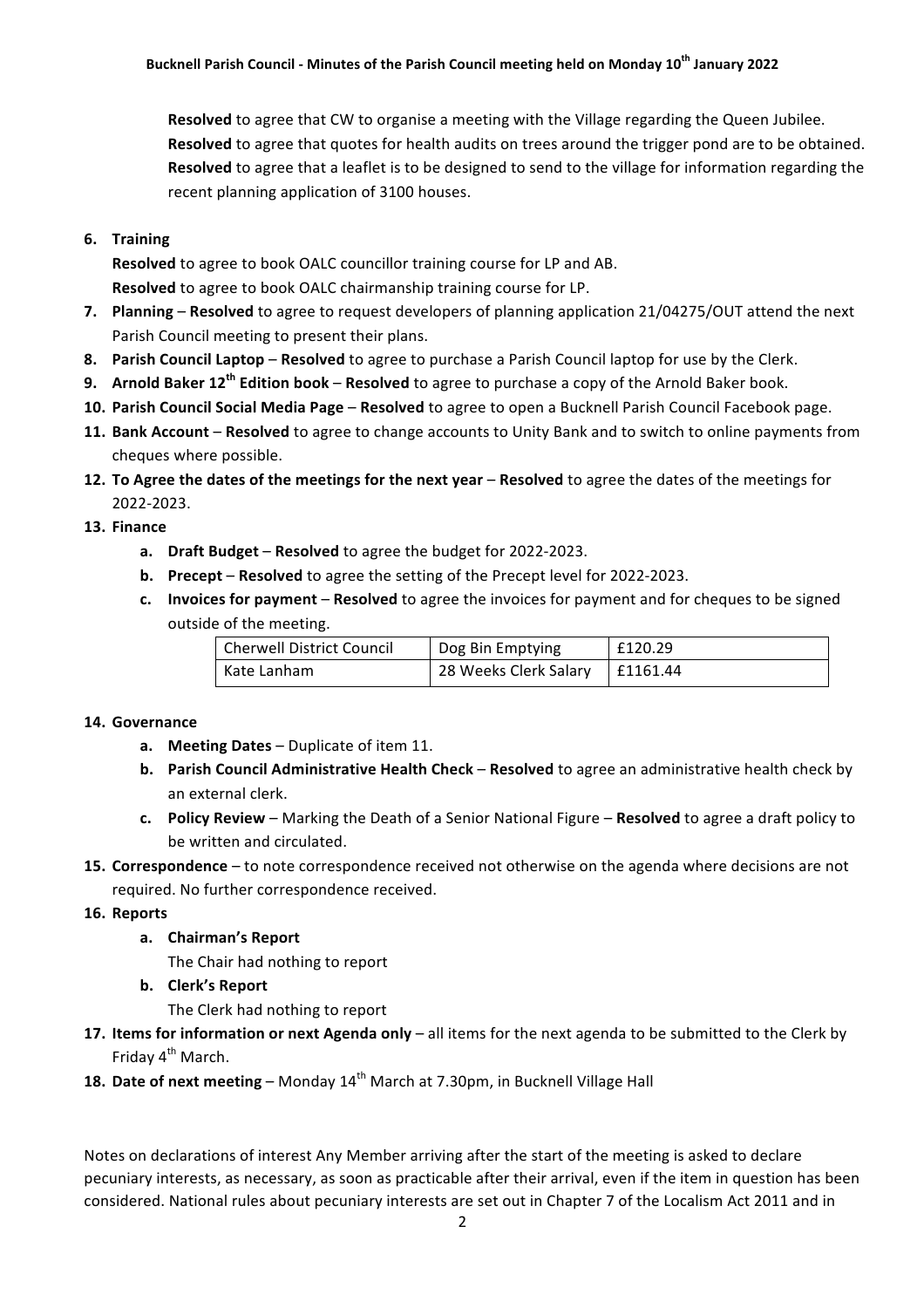**Resolved** to agree that CW to organise a meeting with the Village regarding the Queen Jubilee. Resolved to agree that quotes for health audits on trees around the trigger pond are to be obtained. **Resolved** to agree that a leaflet is to be designed to send to the village for information regarding the recent planning application of 3100 houses.

# **6. Training**

**Resolved** to agree to book OALC councillor training course for LP and AB. **Resolved** to agree to book OALC chairmanship training course for LP.

- **7.** Planning Resolved to agree to request developers of planning application 21/04275/OUT attend the next Parish Council meeting to present their plans.
- **8.** Parish Council Laptop Resolved to agree to purchase a Parish Council laptop for use by the Clerk.
- **9. Arnold Baker 12<sup>th</sup> Edition book Resolved** to agree to purchase a copy of the Arnold Baker book.
- 10. Parish Council Social Media Page Resolved to agree to open a Bucknell Parish Council Facebook page.
- **11. Bank Account** Resolved to agree to change accounts to Unity Bank and to switch to online payments from cheques where possible.
- **12. To Agree the dates of the meetings for the next year Resolved to agree the dates of the meetings for** 2022-2023.
- **13. Finance**
	- a. Draft Budget Resolved to agree the budget for 2022-2023.
	- **b.** Precept Resolved to agree the setting of the Precept level for 2022-2023.
	- **c. Invoices for payment Resolved** to agree the invoices for payment and for cheques to be signed outside of the meeting.

| Cherwell District Council | Dog Bin Emptying                 | E120.29 |
|---------------------------|----------------------------------|---------|
| l Kate Lanham             | 28 Weeks Clerk Salary   £1161.44 |         |

## 14. Governance

- **a. Meeting Dates** Duplicate of item 11.
- **b.** Parish Council Administrative Health Check Resolved to agree an administrative health check by an external clerk.
- **c. Policy Review** Marking the Death of a Senior National Figure Resolved to agree a draft policy to be written and circulated.
- **15. Correspondence** to note correspondence received not otherwise on the agenda where decisions are not required. No further correspondence received.

## 16. **Reports**

a. **Chairman's Report** 

The Chair had nothing to report

**b. Clerk's Report**

The Clerk had nothing to report

- **17.** Items for information or next Agenda only all items for the next agenda to be submitted to the Clerk by Friday  $4^{th}$  March.
- **18. Date of next meeting** Monday  $14<sup>th</sup>$  March at 7.30pm, in Bucknell Village Hall

Notes on declarations of interest Any Member arriving after the start of the meeting is asked to declare pecuniary interests, as necessary, as soon as practicable after their arrival, even if the item in question has been considered. National rules about pecuniary interests are set out in Chapter 7 of the Localism Act 2011 and in